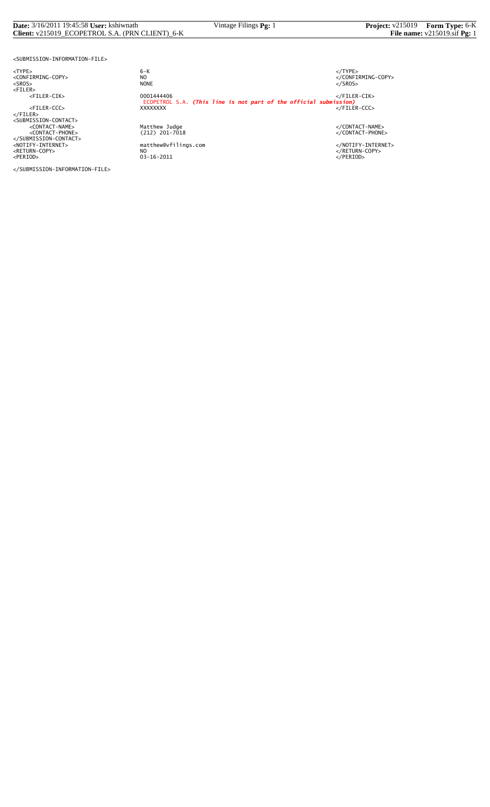#### **Date:** 3/16/2011 19:45:58 **User:** kshiwnath Vintage Filings **Pg:** 1 **Project:** v215019 **Form Type:** 6-K **Client:** v215019\_ECOPETROL S.A. (PRN CLIENT)\_6-K **File name:** v215019.sif **Pg:** 1

<SUBMISSION-INFORMATION-FILE>

</SUBMISSION-INFORMATION-FILE>

<TYPE> 6-K </TYPE>  $6 - K$ NO<br>
NO<br>
NONE<br>
NONE<br>
NONE<br>
S/SROS> <SROS> NONE </SROS> <FILER> <FILER-CIK> 0001444406 </FILER-CIK> ECOPETROL S.A. *(This line is not part of the official submission)* <FILER-CCC> XXXXXXXX </FILER-CCC> </FILER><br><SUBMISSION-CONTACT><br><</CONTACT-PHONE><br><</CONTACT-PHONE><br><</CONTACT-PHONE><br></SUBMISSION-CONTACT><br></SUBMISSION-CONTACT><br></RETURN-COPY>>>>>>>>>>>>>>>>+AOTIFY-INTERNET><br></RETURN-COPY>>+AOTIFY-INTERNET><br></RETURN-COPY>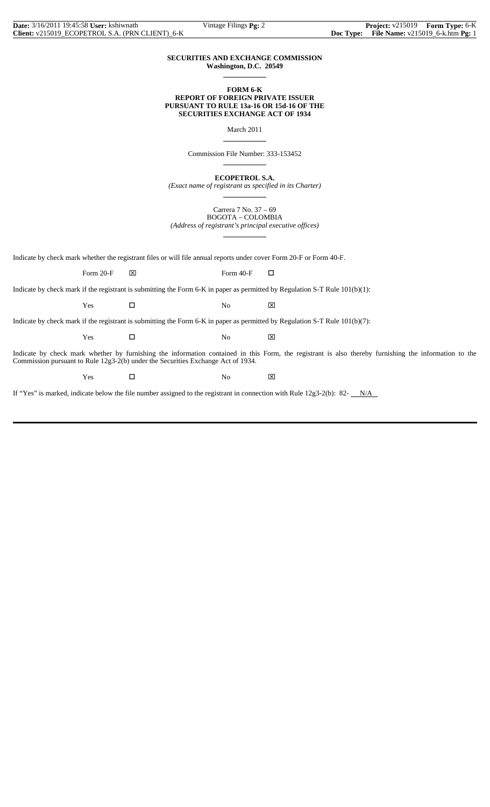## **SECURITIES AND EXCHANGE COMMISSION Washington, D.C. 20549**

 $\overline{a}$ 

 $\overline{a}$ 

 $\overline{a}$ 

 $\overline{a}$ 

## **FORM 6-K REPORT OF FOREIGN PRIVATE ISSUER PURSUANT TO RULE 13a-16 OR 15d-16 OF THE SECURITIES EXCHANGE ACT OF 1934**

March 2011

Commission File Number: 333-153452

**ECOPETROL S.A.**

*(Exact name of registrant as specified in its Charter)*  $\overline{a}$ 

> Carrera 7 No. 37 – 69 BOGOTA – COLOMBIA

*(Address of registrant's principal executive offices)*

Indicate by check mark whether the registrant files or will file annual reports under cover Form 20-F or Form 40-F.

Form 20-F  $\boxtimes$  Form 40-F  $\Box$ 

Indicate by check mark if the registrant is submitting the Form 6-K in paper as permitted by Regulation S-T Rule 101(b)(1):

 $Yes$   $\Box$  No  $\boxtimes$ 

Indicate by check mark if the registrant is submitting the Form 6-K in paper as permitted by Regulation S-T Rule 101(b)(7):

 $Yes$   $\Box$  No  $\boxtimes$ 

Indicate by check mark whether by furnishing the information contained in this Form, the registrant is also thereby furnishing the information to the Commission pursuant to Rule 12g3-2(b) under the Securities Exchange Act of 1934.

Yes □ No ⊠

If "Yes" is marked, indicate below the file number assigned to the registrant in connection with Rule  $12g3-2(b)$ : 82- $N/A$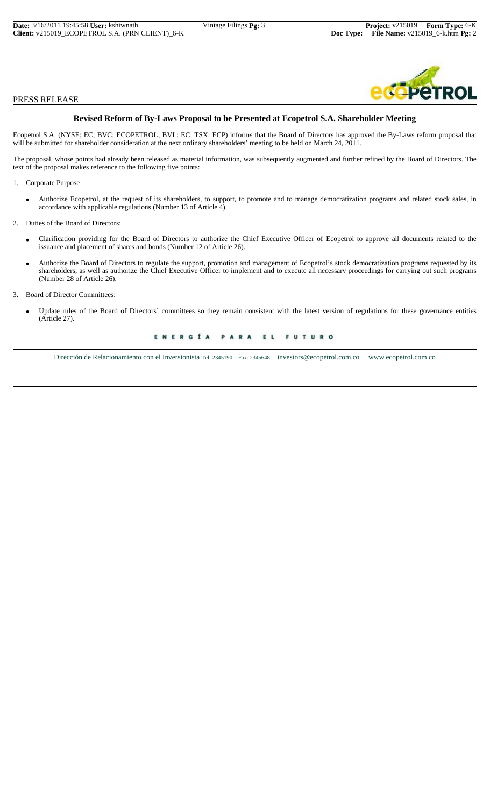## PRESS RELEASE

## **Revised Reform of By-Laws Proposal to be Presented at Ecopetrol S.A. Shareholder Meeting**

Ecopetrol S.A. (NYSE: EC; BVC: ECOPETROL; BVL: EC; TSX: ECP) informs that the Board of Directors has approved the By-Laws reform proposal that will be submitted for shareholder consideration at the next ordinary shareholders' meeting to be held on March 24, 2011.

The proposal, whose points had already been released as material information, was subsequently augmented and further refined by the Board of Directors. The text of the proposal makes reference to the following five points:

1. Corporate Purpose

- Authorize Ecopetrol, at the request of its shareholders, to support, to promote and to manage democratization programs and related stock sales, in accordance with applicable regulations (Number 13 of Article 4).
- 2. Duties of the Board of Directors:
	- Clarification providing for the Board of Directors to authorize the Chief Executive Officer of Ecopetrol to approve all documents related to the issuance and placement of shares and bonds (Number 12 of Article 26).
- Authorize the Board of Directors to regulate the support, promotion and management of Ecopetrol's stock democratization programs requested by its shareholders, as well as authorize the Chief Executive Officer to implement and to execute all necessary proceedings for carrying out such programs (Number 28 of Article 26).
- 3. Board of Director Committees:
	- Update rules of the Board of Directors´ committees so they remain consistent with the latest version of regulations for these governance entities (Article 27).

ENERGÍA PARA EL **FUTURO** 

Dirección de Relacionamiento con el Inversionista Tel: 2345190 – Fax: 2345648 investors@ecopetrol.com.co www.ecopetrol.com.co

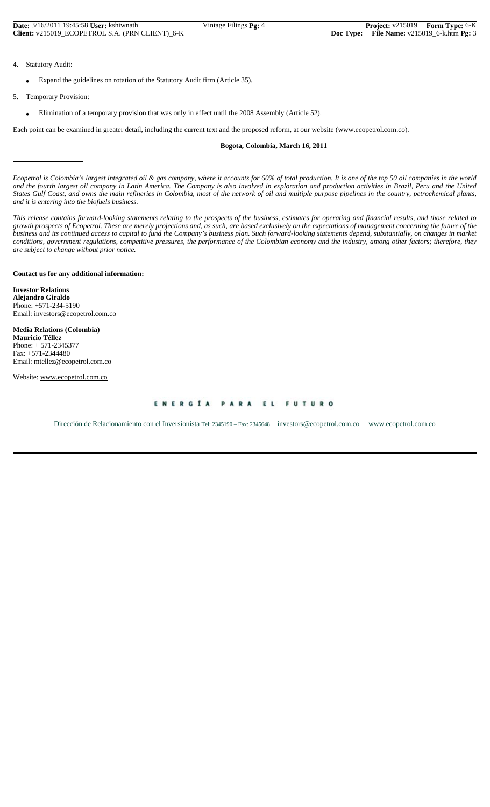| <b>Date:</b> 3/16/2011 19:45:58 User: kshiwnath | Vintage Filings Pg: 4 | <b>Project:</b> v215019 Form Type: 6-K        |  |
|-------------------------------------------------|-----------------------|-----------------------------------------------|--|
| Client: v215019 ECOPETROL S.A. (PRN CLIENT) 6-K |                       | Doc Type: File Name: $v215019_6$ -k.htm Pg: 3 |  |

- 4. Statutory Audit:
	- Expand the guidelines on rotation of the Statutory Audit firm (Article 35).
- 5. Temporary Provision:
	- Elimination of a temporary provision that was only in effect until the 2008 Assembly (Article 52).

Each point can be examined in greater detail, including the current text and the proposed reform, at our website (www.ecopetrol.com.co).

## **Bogota, Colombia, March 16, 2011**

*Ecopetrol is Colombia's largest integrated oil & gas company, where it accounts for 60% of total production. It is one of the top 50 oil companies in the world and the fourth largest oil company in Latin America. The Company is also involved in exploration and production activities in Brazil, Peru and the United States Gulf Coast, and owns the main refineries in Colombia, most of the network of oil and multiple purpose pipelines in the country, petrochemical plants, and it is entering into the biofuels business.*

*This release contains forward-looking statements relating to the prospects of the business, estimates for operating and financial results, and those related to growth prospects of Ecopetrol. These are merely projections and, as such, are based exclusively on the expectations of management concerning the future of the business and its continued access to capital to fund the Company's business plan. Such forward-looking statements depend, substantially, on changes in market conditions, government regulations, competitive pressures, the performance of the Colombian economy and the industry, among other factors; therefore, they are subject to change without prior notice.*

## **Contact us for any additional information:**

**Investor Relations Alejandro Giraldo** Phone: +571-234-5190 Email: investors@ecopetrol.com.co

**Media Relations (Colombia) Mauricio Téllez** Phone: + 571-2345377 Fax: +571-2344480 Email: mtellez@ecopetrol.com.co

Website: www.ecopetrol.com.co

ENERGÍA PARA EL **FUTURO** 

Dirección de Relacionamiento con el Inversionista Tel: 2345190 – Fax: 2345648 investors@ecopetrol.com.co www.ecopetrol.com.co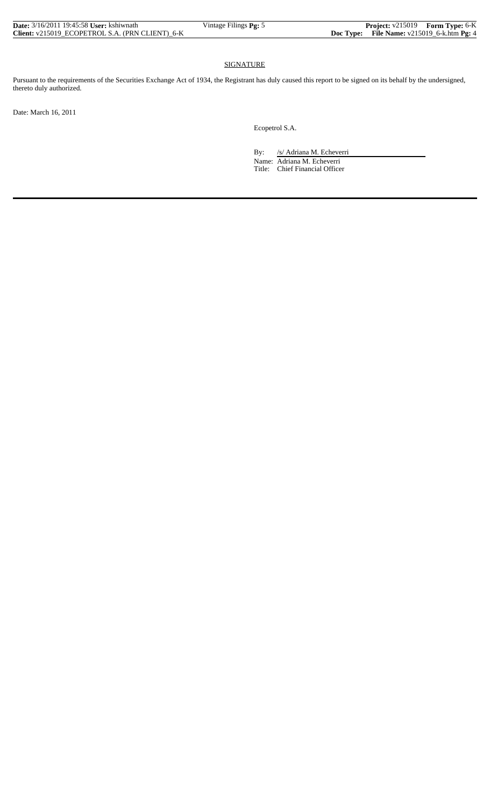| <b>Date:</b> 3/16/2011 19:45:58 User: kshiwnath | Vintage Filings Pg: 5 | <b>Project:</b> v215019 Form Type: 6-K        |  |
|-------------------------------------------------|-----------------------|-----------------------------------------------|--|
| Client: v215019 ECOPETROL S.A. (PRN CLIENT) 6-K |                       | Doc Type: File Name: $v215019_6$ -k.htm Pg: 4 |  |

## SIGNATURE

Pursuant to the requirements of the Securities Exchange Act of 1934, the Registrant has duly caused this report to be signed on its behalf by the undersigned, thereto duly authorized.

Date: March 16, 2011

Ecopetrol S.A.

By: /s/ Adriana M. Echeverri

 Name: Adriana M. Echeverri Title: Chief Financial Officer